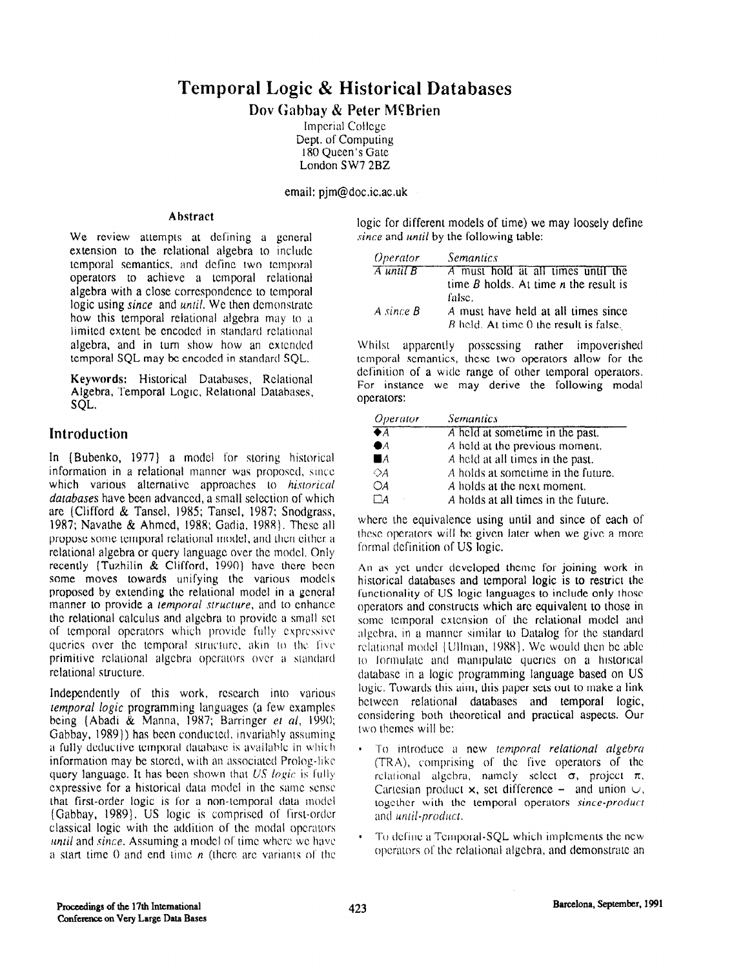# Temporal Logic & Historical Databases

## Dov Gabbay & Peter McBrien

Imperial College Dept. of Computing 180 Queen's Gate London SW7 2BZ

email: pjm@doc.ic.ac.uk

#### Abstract

We review attempts at defining a general extension to the relational algebra to include temporal semantics, and dcfinc two temporal operators to achieve a temporal relational algebra with a close correspondence to temporal logic using *since* and *until*. We then demonstrate how this temporal relational algebra may to a limited extent be encoded in standard relational algebra, and in turn show how an extended temporal SQL may be encoded in standard SQL.

Keywords: Historical Databases, Relational Algebra, Temporal Logic, Relational Databases, SQL.

## Introduction

In (Bubenko, 1977) a model for storing historical information in a relational manner was proposed, smcc which various alternative approaches to historical databases have been advanced, a small selection of which are (Clifford & Tansel, 1985; Tansel, 1987; Snodgrass, 1987; Navathe & Ahmcd, 1988: Gadia, 19X8). Thcsc all propose some temporal relational model, and then cithcr a relational algebra or query language over the model. Only recently (Tuzhilin  $\&$  Clifford, 1990) have there been some moves towards unifying the various models proposed by extending the relational model in a gcncral manner to provide a *lemporal structure*, and to enhance the relational calculus and algebra to provide a small set of temporal operators which provide fully expressive queries over the temporal structure, akin to the five primitive relational algebra operators over a standard relational structure.

Independently of this work, rcscarch into various lemporal logic programming languages (a few examples being (Abadi & Manna, 1987; Barringer el al, 1990; Gabbay, 1989)) has been conducted, invariably assuming a fully deductive temporal database is available in which information may be stored, with an associated Prolog-like query language. It has been shown that  $US\ logic$  is fully expressive for a historical data model in the same sense that first-order logic is for a non-temporal data model (Gabbay, 1989). US logic is comprised of first-order classical logic with the addition of the motial operators until and since. Assuming a model of time where we have a start time 0 and end time  $n$  (there are variants of the logic for different models of time) we may loosely define since and *until* by the following table:

| <i><b>Operator</b></i>              | <i>Semantics</i>                          |
|-------------------------------------|-------------------------------------------|
| $\overline{A}$ until $\overline{B}$ | A must hold at all times until the        |
|                                     | time $B$ holds. At time $n$ the result is |
|                                     | false.                                    |
| $A \, since \, B$                   | A must have held at all times since       |
|                                     | B held. At time 0 the result is false.    |

Whilst apparently possessing rather impoverished temporal semantics, these two operators allow for the definition of a wide range of other temporal operators. For instance we may derive the following modal operators:

| <i><b>Operator</b></i> | Semantics                           |
|------------------------|-------------------------------------|
| $\overline{\bullet A}$ | A held at sometime in the past.     |
| $\bullet$              | A held at the previous moment,      |
| $\blacksquare$ $\land$ | A held at all times in the past.    |
| $\Diamond A$           | A holds at sometime in the future.  |
| OA                     | A holds at the next moment.         |
|                        | A holds at all times in the future. |

where the equivalence using until and since of each of thcsc operators will bc given later when we give a more formal definition of US logic.

An as yet under developed theme for joining work in historical databases and temporal logic is to restrict the functionality of US logic languages to include only those operators and constructs which arc equivalent to those in some temporal extension of the relational model and algebra, in a manner similar to Datalog for the standard relational model [ Ullman, 1988]. We would then be able 10 I'ormulatc and m;uiipulatc qucrics on a historical database in a logic programming language based on US logic. Towards this aim, this paper sets out to make a link between relational databases and temporal logic, considering both thcorctical and practical aspects. Our two themes will be:

- To introduce a new temporal relational algebra (TRA), comprising of the five operators of the relational algebra, namely select  $\sigma$ , project  $\pi$ , Cartesian product  $x$ , set difference – and union  $\cup$ , together with the temporal operators since-product and until-product.
- $\cdot$  To define a Temporal-SQL which implements the new operators of the relational algebra, and demonstrate an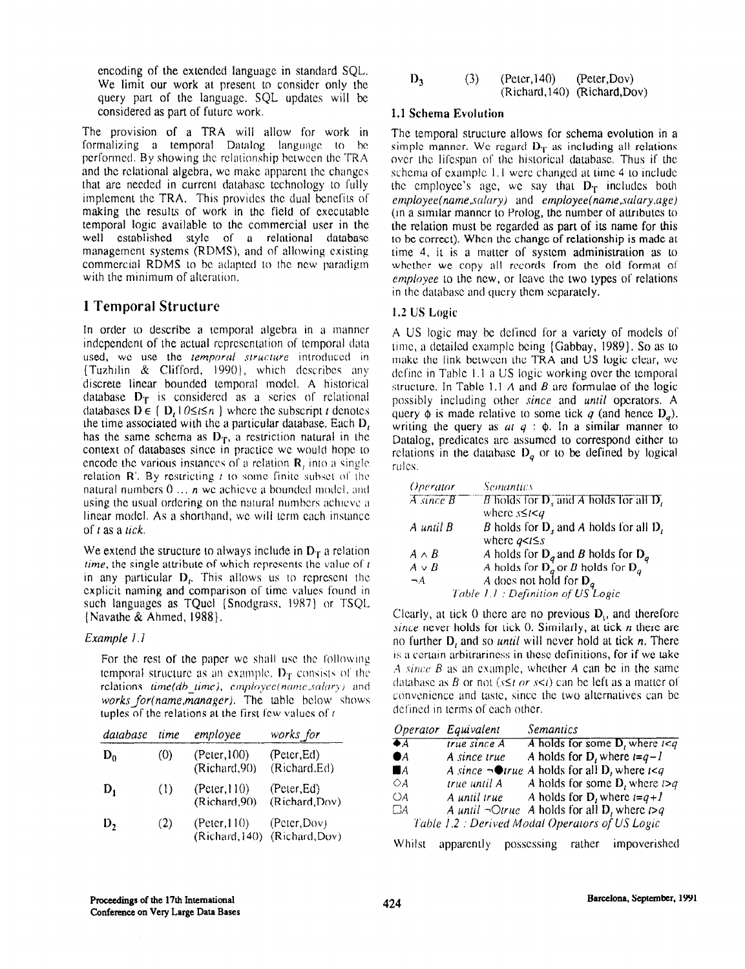encoding of the extended language in standard SQL. We limit our work at present to consider only the query part of the language. SQL updates will be considered as part of future work.

The provision of a TRA will allow for work in formalizing a temporal Datalog language to bc pcrformcd. By showing the relationship bctwccn the TRA and the relational algebra, we make apparent the changes that are needed in current database technology to fully implement the TRA. This provides the dual benefits of making the results of work in the field of exccutablc temporal logic available to the commercial user in the well established style of a relational database management systems (RDMS), and of allowing existing commercial RDMS to be adapted to the new paradigm with the minimum of alteration.

## 1 Temporal Structure

In order to describe a temporal algebra in a manner independent of the actual representation of temporal data used, we use the temporal structure introduced in (Tuzhilin  $\&$  Clifford, 1990), which describes any discrete linear bounded temporal model. A historical database  $D_T$  is considered as a series of relational databases  $D \in \{ D_t | 0 \le t \le n \}$  where the subscript t denotes the time associated with the a particular database. Each  $D<sub>t</sub>$ has the same schema as  $D_T$ , a restriction natural in the context of databases since in practice we would hope to encode the various instances of a relation  $\mathbf{R}_t$  into a single relation  $\mathbb{R}^1$ . By restricting  $t$  to some finite subset of the natural numbers  $0 \ldots n$  we achieve a bounded model, and using the usual ordering on the natural numbers achieve a linear model. As a shorthand, we will term each instance of *t* as a *tick*.

We extend the structure to always include in  $D_T$  a relation *lime*, the single attribute of which represents the value of  $\iota$ in any particular  $D<sub>L</sub>$ . This allows us to represent the explicit naming and comparison of time values found in such languages as TQucl (Snodgrass, 1987) or TSQL (Navathe & Ahmed, 1988).

### Example I .I

For the rest of the paper we shall use the following temporal structure as an example.  $D_T$  consists of the relations time(db time), employee(name,salary) and works for(name,manager). The table below shows tuples of the relations at the first few values of  $t$ 

| database | ume | employee                       | works_for                      |
|----------|-----|--------------------------------|--------------------------------|
| $D_0$    | (0) | (Peter, 100)<br>(Richard, 90)  | (Peter, Ed)<br>(Richard,Ed)    |
| $D_1$    | (1) | (Peter, 110)<br>(Richard, 90)  | (Peter, Ed.)<br>(Richard, Dov) |
| D,       | (2) | (Peter, 110)<br>(Richard, 140) | (Peter, Dow)<br>(Richard, Dov) |

$$
D_3 \qquad (3) \qquad \text{(Peter,140)} \qquad \text{(Peter,Dov)}\n\text{(Richard,140)} \qquad \text{(Richard,Dov)}
$$

## 1.1 Schema Evolution

The temporal structure allows for schema evolution in a simple manner. We regard  $D_T$  as including all relations over lhc lifespan of the historical database. Thus if the schema of example 1.1 were changed at time 4 to include the employee's age, we say that  $D_T$  includes both  $employee(name,salary)$  and  $employee(name,salary,age)$ (in a similar manner to Prolog, the number of attributes to the relation must be regarded as part of its name for this to be correct). When the change of relationship is made at time 4, it is a matter of system administration as to whether we copy all records from the old format of employee to the new, or lcave the two types of relations in the database and query them separately.

### I.2 US Logic

A US logic may be defined for a variety of models of time, a dctailcd cxamplc being (Gabbay, 1989). So as to make the link between the TRA and US logic clear, we define in Table 1.1 a US logic working over the temporal structure. In Table 1.1 A and B are formulae of the logic possibly including other since and *until* operators. A query  $\phi$  is made relative to some tick q (and hence  $D_{a}$ ), writing the query as  $at \, q : \phi$ . In a similar manner to Datalog, predicates arc assumed to correspond either lo relations in the database  $D_q$  or to be defined by logical rules.

| Operator                            | <i>Semantics</i>                                                                                               |
|-------------------------------------|----------------------------------------------------------------------------------------------------------------|
| $\overline{A}$ since $\overline{B}$ | B holds for $D_r$ and A holds for all $D_r$                                                                    |
|                                     | where $s \leq t < q$                                                                                           |
| $A$ until $B$                       | B holds for $D_s$ and A holds for all $D_t$                                                                    |
|                                     | where $q < l \leq s$                                                                                           |
| $A \wedge B$                        |                                                                                                                |
| $A \vee B$                          | A holds for $D_q$ and B holds for $D_q$<br>A holds for $D_q$ or B holds for $D_q$<br>A does not hold for $D_q$ |
| $\neg A$                            |                                                                                                                |
|                                     | Table $1.1$ : Definition of US Logic                                                                           |

Clearly, at tick 0 there are no previous  $D_i$ , and therefore since never holds for tick  $0$ . Similarly, at tick *n* there are no further  $D_i$ , and so *until* will never hold at tick n. There is a certain arbitrariness in these definitions, for if we take A since B as an example, whether A can be in the same database as B or not ( $s \le t$  or  $s \le t$ ) can be left as a matter of convenience and taste, since the two alternatives can be dct'ined in terms of each other.

|                                             | Operator Equivalent | Semantics                                                     |
|---------------------------------------------|---------------------|---------------------------------------------------------------|
| $\blacktriangleright$ $\blacktriangleright$ | true since A        | A holds for some $D$ , where $1 \leq q$                       |
| $\bullet$                                   | A since true        | A holds for $D_i$ where $i=q-l$                               |
| $\blacksquare$ $\blacktriangle$             |                     | A since $\neg$ otrue A holds for all D, where $1 \leq q$      |
| $\Diamond A$                                | true until A        | A holds for some $D_i$ where $i > q$                          |
| $\bigcirc$ A                                | A until true        | A holds for $D_t$ where $t=q+1$                               |
| $\Box A$                                    |                     | A until $\neg$ Otrue A holds for all <b>D</b> , where $t > q$ |
|                                             |                     | Table 1.2 : Derived Modal Operators of US Logic               |

Whilst apparently possessing rather impoverished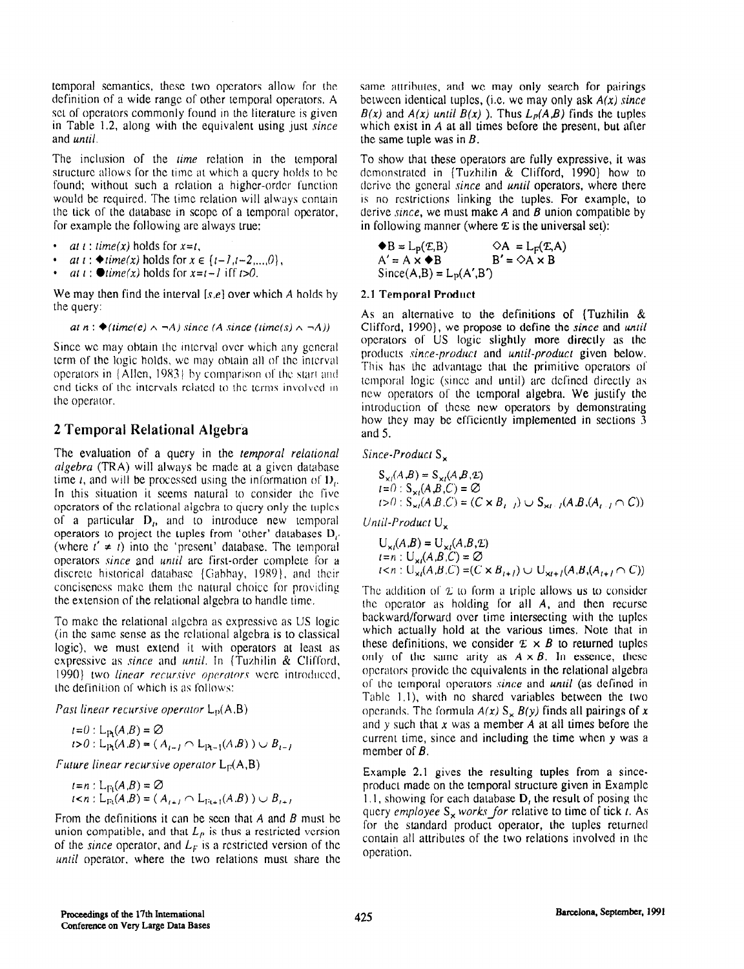temporal semantics, these two operators allow for the definition of a wide range of other temporal operators. A set of operators commonly found in the literature is given in Table 1.2, along with the equivalent using just since and until.

The inclusion of the *time* relation in the temporal structure allows for the time at which a query holds to bc found; without such a relation a higher-order function would be required. The time relation will always contain the tick of the database in scope of a temporal operator, for example the following are always true:

- at  $i$ : time(x) holds for  $x = i$ .
- *at t* : ◆*time(x)* holds for  $x \in \{t-1, t-2,...,0\}$ ,
- at  $t$ :  $\bullet$  lime(x) holds for  $x=t-1$  iff  $t>0$ .

We may then find the interval  $[s,e]$  over which A holds by the query:

at  $n : \bigstar$ (time(e)  $\land \neg A$ ) since (A since (time(s)  $\land \neg A$ ))

Since we may obtain the interval over which any general term of the logic holds, WC may obtain all of the interval operators in  $\{$  Allen, 1983 $\}$  by comparison of the start and end ticks of the intervals related to the terms involved in the operator.

## 2 Temporal Relational Algebra

The evaluation of a query in the temporal relational  $algebra$  (TRA) will always be made at a given database time *t*, and will be processed using the information of  $D<sub>i</sub>$ . In this situation it seems natural to consider the five operators of the relational algebra to query only the tuples of a particular  $D_i$ , and to introduce new temporal operators to project the tuples from 'other' databases I),. (where  $t' \neq t$ ) into the 'present' database. The temporal operators since and until are first-order complete for a discrete historical database {Gabbay, 1989}, and their conciseness make them the natural choice for providing the extension of the relational algebra to handle time.

To make the relational algebra as expressive as US logic (in the same sense as the relational algebra is to classical logic), we must extend it with operators at least as expressive as since and until. In (Tuzhilin & Clifford, 1990) two *linear recursive operators* were introduced, the definition of which is as follows:

Past linear recursive operator  $L_p(A,B)$ 

 $t=0$ : L<sub>Pt</sub> $(A,B) = \emptyset$  $r>0$ :  $L_{\text{P1}}(A,B) = (A_{i-1} \cap L_{\text{P1}-1}(A,B)) \cup B_{i-1}$ 

Future linear recursive operator  $L_{F}(A,B)$ 

 $i=n$  :  $L_{F_1}(A,B)=\emptyset$  $t < n$ :  $L_{\text{Ft}}(A,B) = (A_{t+1} \cap L_{\text{Ft+1}}(A,B)) \cup B_{t+1}$ 

From the definitions it can be seen that  $A$  and  $B$  must be union compatible, and that  $L<sub>p</sub>$  is thus a restricted version of the since operator, and  $L_F$  is a restricted version of the until operator, where the two relations must share the same attributes, and we may only search for pairings between identical tuples, (i.e. we may only ask  $A(x)$  since  $B(x)$  and  $A(x)$  until  $B(x)$ ). Thus  $L_p(A,B)$  finds the tuples which exist in A at all times before the present, but after the same tuple was in  $B$ .

To show that these operators are fully expressive, it was demonstrated in (Tuzhilin & Clifford, 1990) how to derive the general since and until operators, where there is no restrictions linking the tuples. For example, to derive since, we must make  $A$  and  $B$  union compatible by in following manner (where  $E$  is the universal set):

 $\blacklozenge$ B = L<sub>p</sub>(*E*,B)  $\Diamond$ A = L<sub>p</sub>(*E*,A)<br>A' = A ×  $\blacklozenge$ B B' =  $\Diamond$ A × B  $A' = A \times \blacklozenge B$  $Since(A,B) = L<sub>p</sub>(A',B')$ 

#### 2.1 Temporal Product

As an alternative to the definitions of (Tuzhilin & Clifford, 1990), we propose to define the since and until operators of US logic slightly more directly as the products since-product and until-product given below. This has the advantage that the primitive operators of temporal logic (since and until) arc dcfincd directly as new operators of the temporal algebra. We justify the introduction of these new operators by demonstrating how they may be efficiently implemented in sections 3 and 5.

Since-Product S<sub>v</sub>

$$
S_{x}(A,B) = S_{x}(A,B,E)
$$
  
\n $t=0: S_{x}(A,B,C) = \emptyset$   
\n $t>0: S_{x}(A,B,C) = (C \times B_{t-1}) \cup S_{x-t}(A,B,(A_{t-1} \cap C))$ 

Until-Product  $U_{\mathbf{x}}$ 

$$
U_{x_i}(A,B) = U_{x_i}(A,B,E)
$$
  
\n
$$
I = n : U_{x_i}(A,B,C) = \emptyset
$$
  
\n
$$
I < n : U_{x_i}(A,B,C) = (C \times B_{i+1}) \cup U_{x_{i+1}}(A,B,(A_{i+1} \cap C))
$$

The addition of  $\mathcal{L}$  to form a triple allows us to consider the operator as holding for all A, and then recursc backward/forward over time intersecting with the tuplcs which actually hold at the various times. Note that in these definitions, we consider  $E \times B$  to returned tuples only of the same arity as  $A \times B$ . In essence, these operators provide the equivalents in the relational algebra of the temporal operators since and until (as defined in Table 1.1), with no shared variables between the two operands. The formula  $A(x)$  S<sub>x</sub>  $B(y)$  finds all pairings of x and y such that  $x$  was a member  $\overline{A}$  at all times before the current time, since and including the time when y was a member of *B*.

Example 2.1 gives the resulting tuples from a sinceproduct made on the temporal structure given in Example 1.1, showing for each database  $D<sub>t</sub>$ , the result of posing the query employee  $S_x$  works for relative to time of tick 1. As for the standard product operator, the tuples returned contain all attributes of the two relations involved in the operation.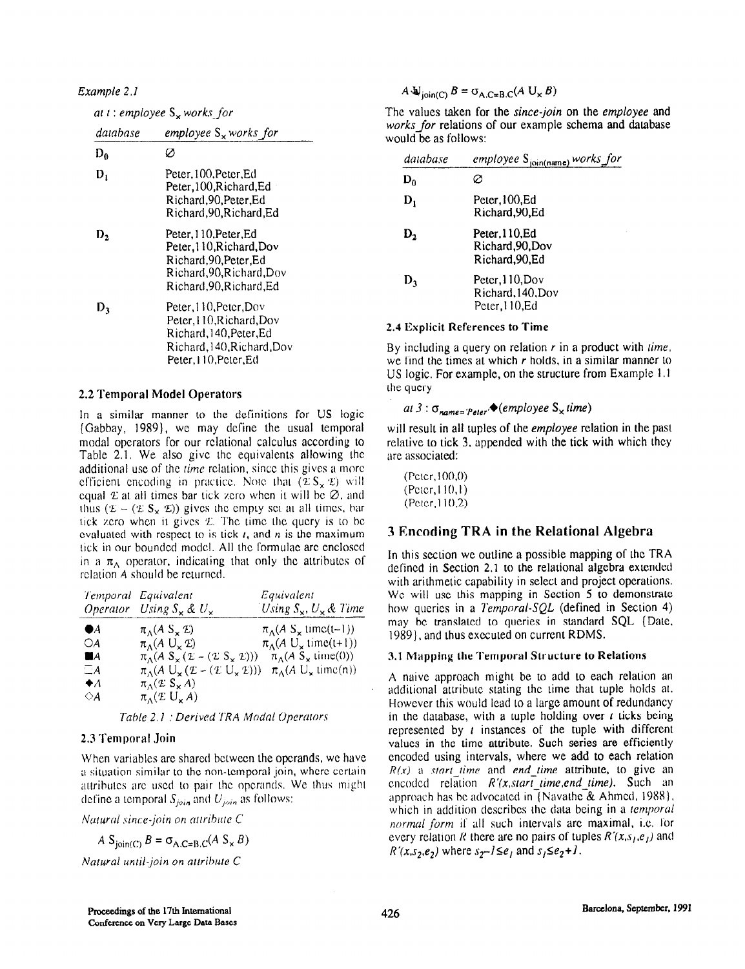Example 2. I

|  |  |  |  |  |  | at t : employee S <sub>×</sub> works_for |  |
|--|--|--|--|--|--|------------------------------------------|--|
|--|--|--|--|--|--|------------------------------------------|--|

| database       | employee $S_{\times}$ works for                                                                                               |
|----------------|-------------------------------------------------------------------------------------------------------------------------------|
| D <sub>0</sub> | Ø                                                                                                                             |
| D,             | Peter.100.Peter.Ed<br>Peter, 100, Richard, Ed<br>Richard, 90, Peter, Ed<br>Richard.90.Richard.Ed                              |
| IJ,            | Peter.110.Peter.Ed<br>Peter.110.Richard.Dov<br>Richard.90.Peter.Ed<br>Richard, 90, Richard, Dov<br>Richard.90.Richard.Ed      |
| D٦             | Peter, H0, Peter, Dov<br>Peter, 110, Richard, Dov<br>Richard, 140, Peter, Ed<br>Richard.140.Richard.Dov<br>Peter.110.Peter.Ed |

#### 2.2 Temporal Model Operators

In a similar manner to the definitions for US logic (Gabbay, 1989), we may define the usual temporal modal operators for our relational calculus according to Table 2.1. We also give the equivalents allowing the additional use of the *time* relation, since this gives a more efficient encoding in practice. Note that  $(\mathcal{L}S_{\mathcal{L}} \mathcal{L})$  will equal  $\mathfrak x$  at all times bar tick zero when it will be  $\varnothing$ , and thus  $(\mathcal{L} - (\mathcal{L} S_{\mathbf{x}} \mathcal{L}))$  gives the empty set at all times, bar tick zero when it gives  $E$ . The time the query is to be evaluated with respect to is tick  $t<sub>i</sub>$  and n is the maximum tick in our bounded model. All the formulae are enclosed in a  $\pi_{\Lambda}$  operator, indicating that only the attributes of relation A should be returned.

|             | Temporal Equivalent                                                                              | Equivalent                                             |
|-------------|--------------------------------------------------------------------------------------------------|--------------------------------------------------------|
|             | Operator Using $S_{\times} \& U_{\times}$                                                        | Using $S_x$ , $U_x$ & Time                             |
| ●4          | $\pi_A(A \text{ } S_\times \mathcal{L})$                                                         | $\pi_A(A \text{ S}_{\times} \text{ time}(\text{I}-1))$ |
| OA          | $\pi_{\Lambda}(A \cup_{\kappa} \mathcal{I})$                                                     | $\pi_A(A \cup_{x} \text{time}(t+1))$                   |
| ПA          | $\pi_A(A S_x (\mathcal{L} - (\mathcal{L} S_x \mathcal{L})))$                                     | $\pi_{\Lambda}(A \ S_{\times})$ time(0))               |
| $\Box A$    | $\pi_{\Lambda}(A \cup_{\mathbf{x}} (\mathcal{L} - (\mathcal{L} \cup_{\mathbf{x}} \mathcal{L})))$ | $\pi_A(A \cup_{\mathbf{x}} \text{time(n)})$            |
| $\bullet$ A | $\pi_A(\mathcal{L} S_{\mathbf{x}} A)$                                                            |                                                        |
| ◇A          | $\pi_A(E U_x A)$                                                                                 |                                                        |

7'ahle 2.1 : Derived TRA Modal Operators

#### 2.3 Temporal Join

When variables are shared between the operands, we have a situation similar to the non-temporal join, where certain attributes are used to pair the operands. We thus might define a temporal  $S_{join}$  and  $U_{join}$  as follows:

Natural since-join on attribute C

$$
A S_{\text{join}(C)} B = \sigma_{A.C=B.C}(A S_x B)
$$

Natural until-join on attribute  $C$ 

## $A \bigcup_{\text{join}(C)} B = \sigma_{A.C=B.C}(A \bigcup_{x} B)$

The values taken for the since-join on the employee and works for relations of our example schema and database would be as follows:

| database       | employee S <sub>join(name)</sub> works fo.           |
|----------------|------------------------------------------------------|
| $D_0$          |                                                      |
| $\mathbf{D}_1$ | Peter, 100, Ed<br>Richard, 90, Ed                    |
| D,             | Peter.110.Ed<br>Richard, 90, Dov<br>Richard, 90, Ed  |
| D,             | Peter, 110, Dov<br>Richard, 140, Dov<br>Peter,110,Ed |

#### 2.4 Explicit References to Time

By including a query on relation  $r$  in a product with time, we find the times at which  $r$  holds, in a similar manner to US logic. For example, on the structure from Example 1. I the query

### at 3 :  $\sigma_{name='Peter}$ , (employee  $S_x$  time)

will result in all tuples of the *employee* relation in the past relative to tick 3, appended with the tick with which they are associated:

 $($ Pctcr,  $100, 0)$  $(Peter, 110, 1)$ (Pctcr, 1 10.2)

### 3 Encoding TRA in the Relational Algebra

In this section we outline a possible mapping of the TRA defined in Section 2.1 to the relational algebra extended with arithmetic capability in select and project operations. We will use this mapping in Section 5 to demonstrate how queries in a Temporal-SQL (defined in Section 4) may bc translated to queries in standard SQL (Date, 1989), and thus executed on current RDMS.

#### 3.1 Mapping the Temporal Structure to Relations

A naive approach might be to add to each relation an additional attribute stating the time that tuple holds al. However this would lead to a large amount of redundancy in the database, with a tuple holding over  $t$  ticks being represented by  $t$  instances of the tuple with different values in the time attribute. Such series are efficiently encoded using intervals, where we add to each relation  $R(x)$  a start time and end time attribute, to give an encoded relation  $R'(x, start \ time, end \ time)$ . Such an approach has be advocated in<sup>7</sup> Navathe<sup>2</sup>& Ahmed, 1988), which in addition describes the data being in a temporal *normal form* if all such intervals are maximal, i.e. for every relation R there are no pairs of tuples  $R'(x,s_1,e_1)$  and  $R'(x,s_2,e_2)$  where  $s_2-l \leq e_1$  and  $s_1 \leq e_2+l$ .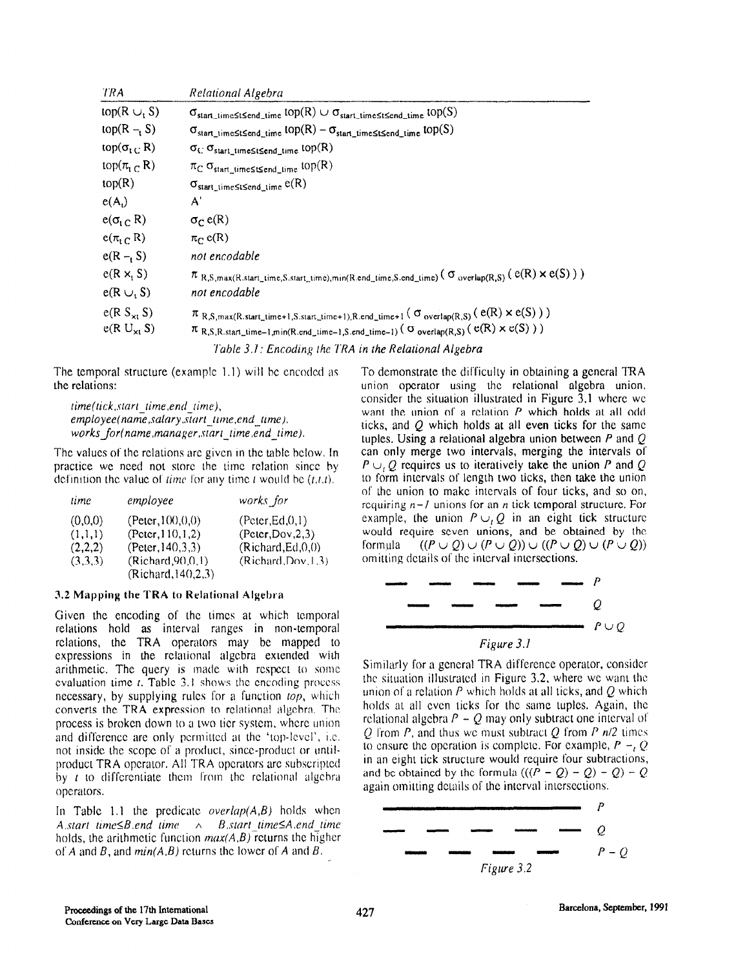| TRA                         | Relational Algebra                                                                                                                        |
|-----------------------------|-------------------------------------------------------------------------------------------------------------------------------------------|
| top( $R \cup S$ )           | $\sigma_{\text{start\_time}}$ stsend_time $\text{top}(R) \cup \sigma_{\text{start\_time}}$ stsend_time $\text{top}(S)$                    |
| $top(R - S)$                | $\sigma_{\text{star\_time}}$ signal $\text{top}(R) - \sigma_{\text{star\_time}}$ signal $\text{top}(S)$                                   |
| top( $\sigma_{\rm t\,C}$ R) | $\sigma_C \sigma_{\text{start\_time}}$ stand_time top(R)                                                                                  |
| top $(\pi_{t} \cap R)$      | $\pi_C \sigma_{start\_time} \leq t \leq end\_time}$ top(R)                                                                                |
| top(R)                      | $\sigma_{start\_time} \leq t \leq end\_time}$ $e(R)$                                                                                      |
| e(A)                        | A'                                                                                                                                        |
| $e(\sigma_{t C} R)$         | $\sigma_C e(R)$                                                                                                                           |
| $e(\pi_{t} \cap R)$         | $\pi_C$ e(R)                                                                                                                              |
| $e(R - S)$                  | not encodable                                                                                                                             |
| $e(R \times_S S)$           | $\pi_{R,S, \max(R, start\_time, S, start\_time), min(R.end\_time, S.end\_time)}$ ( $\sigma_{overlap(R,S)}(e(R) \times e(S))$ )            |
| $e(R \cup S)$               | not encodable                                                                                                                             |
| $c(R S_{\times t} S)$       | $\pi_{R,S,\max(R.\text{start\_time+1},S.\text{start\_time+1}),R.\text{end\_time+1}}$ ( $\sigma_{\text{overlap(R,S)}}(e(R) \times e(S))$ ) |
| $e(R U_{x1} S)$             | $\pi_{R,S,R,\text{start\_time-1,min}(R.\text{end\_time-1},S.\text{end\_time-1})$ ( $\sigma_{\text{overlap}(R,S)}(e(R) \times e(S))$ )     |
|                             | Table 3.1: Encoding the TRA in the Relational Algebra                                                                                     |

The temporal structure (example  $1.1$ ) will be encoded as the relations:

 $line(ick, start$   $time, end$   $time)$ .  $emplyee(name,salary,sarttime,end$  time). works for(name,manager,start-time.end-time).

The values of the relations arc given in the table below. In practice we need not store the time relation since by definition the value of *time* for any time *t* would be  $(t,t,t)$ .

| time    | employee             | works for            |
|---------|----------------------|----------------------|
| (0,0,0) | (Peter, 100, 0, 0)   | (Peter, Ed, 0, 1)    |
| (1,1,1) | (Peter, 110, 1, 2)   | (Peter, Dow, 2, 3)   |
| (2,2,2) | (Peter, 140, 3.3)    | (Richard, Ed, 0, 0)  |
| (3,3,3) | (Richard, 90, 0, 1)  | (Richard, Dow, 1, 3) |
|         | (Richard, 140, 2, 3) |                      |

#### 3.2 Mapping the TRA to Relational Algebra

Given the encoding of the times at which temporal relations hold as interval ranges in non-temporal relations, the TRA operators may be mapped to expressions in the relational algebra extended with arithmetic. The query is made with rcspcct to some evaluation time  $t$ . Table 3.1 shows the encoding process necessary, by supplying rules for a function  $top$ , which converts the TRA expression to relational algebra. The process is broken down to a two tier system, whcrc union and difference are only permitted at the 'top-level', i.e. not inside the scope of a product, since-product or untilproduct TRA operator. All TRA operators arc subscripted by  $t$  to differentiate them from the relational algebra operators.

In Table 1.1 the predicate *overlap(A,B)* holds when A.start-lime $\leq B$  end time  $\wedge$  B.start-lime $\leq A$  end lime holds, the arithmetic function  $max(A,B)$  returns the higher of A and B, and  $min(A, B)$  returns the lower of A and B.

To demonstrate the difficulty in obtaining a general TRA union operator using the relational algebra union. consider the situation illustrated in Figure 3.1 where we want the union of a relation P which holds at all odd ticks, and  $Q$  which holds at all even ticks for the same tuples. Using a relational algebra union between  $P$  and  $Q$ can only merge two intervals, merging the intervals 01'  $P \cup Q$  requires us to iteratively take the union P and Q to form intervals of length two ticks, then take the union of the union to make intervals of four ticks, and so on, requiring  $n-J$  unions for an *n* tick temporal structure. For example, the union  $P \cup_i Q$  in an eight tick structure would require seven unions, and be obtained by the formula  $((P \cup Q) \cup (P \cup Q)) \cup ((P \cup Q) \cup (P \cup Q))$ omitting details of the interval intersections.



Similarly for a general TRA difference operator, consider the situation illustrated in Figure 3.2, where we want the union of a relation  $P$  which holds at all ticks, and  $Q$  which holds at all cvcn ticks for the same tuplcs. Again, the rclational algebra  $P - Q$  may only subtract one interval of Q from P, and thus we must subtract Q from P  $n/2$  times to ensure the operation is complete. For example,  $P - Q$ in an eight tick structure would require four subtractions, and be obtained by the formula  $((P - Q) - Q) - Q$ ) - Q again omitting details of the interval intersections.

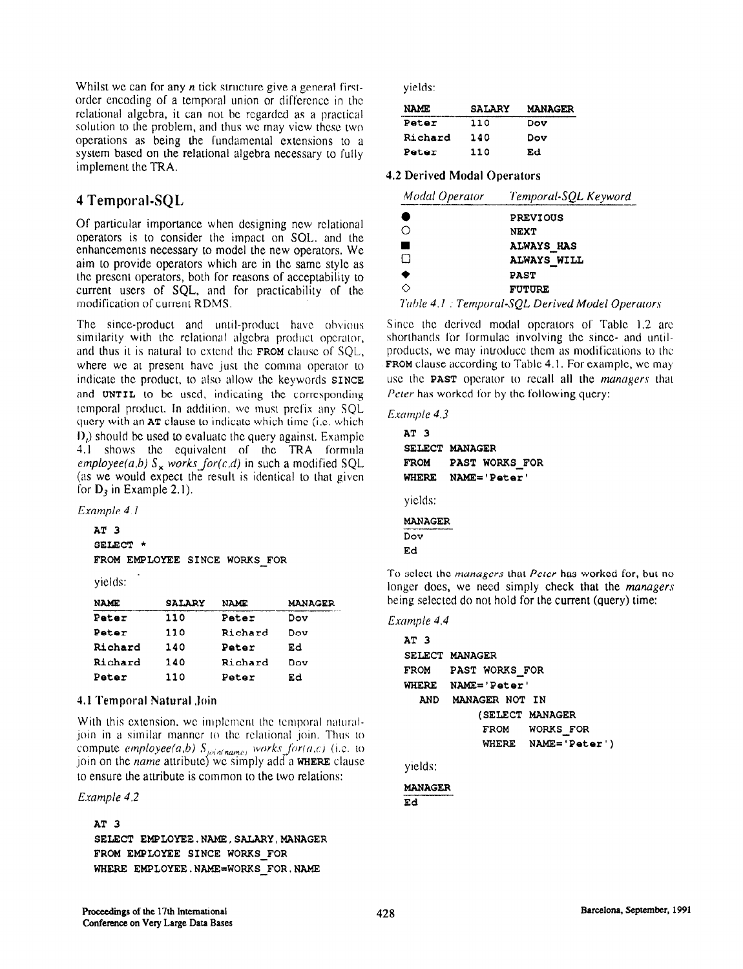Whilst we can for any  $n$  tick structure give a general firstorder encoding of a temporal union or difference in the rclationai algebra, it can not bc rcgardcd as a practical solution to the problem, and thus we may view these two operations as being the fundamental extensions to a system based on the relational algebra necessary to fully implement the TRA.

## 4 Temporal-SQL,

Of particular importance when designing new relational operators is to consider the impact on SQL, and the enhancements necessary to model the new operators. We aim to provide operators which are in the same style as the present operators, both for reasons of acceptability to current users of SQL, and for practicability of the modification of current RDMS.

The since-product and until-product have obvious similarity with the relational elgcbra product operator, and thus it is natural to extend the  $FROM$  clause of  $SQL$ , where we at present have just the comma operator to indicate the product, to also allow the keywords SINCE and UNTIL to be used, indicating the corresponding temporal product. In addition, we must prefix any SQL query with an  $AT$  clause to indicate which time (i.e. which I),) should be used to evaluate the query against. Example 4.1 shows the equivalent of the TRA formula employee(a,b)  $S_x$  works for(c,d) in such a modified SQL (as we would expect the result is identical to that given for  $D_3$  in Example 2.1).

Example 4.1

```
AT 3 
SEIECT * 
FROM EMPLOYEE SINCE WORKS FOR
```
yields:

| name           | <b>SALARY</b> | <b>NAME</b> | <b>MANAGER</b> |
|----------------|---------------|-------------|----------------|
| Peter          | 110           | Peter       | Dov            |
| Peter          | 110           | Richard     | Dov            |
| <b>Richard</b> | 140           | Peter       | Ed             |
| Richard        | 140           | Richard     | Dov            |
| <b>Peter</b>   | 110           | Peter       | Ed             |

### 4.1 Temporal Natural Join

With this extension, we implement the remporal naturaljoin in a similar manner to the relational join. Thus to compute *employee*(a,b)  $S_{\text{min(name)}}$  works for(a,c) (i.e. to join on the *name* attribute) we simply add a **WHERE** clause to ensure the attribute is common to the two relations:

### Example 4.2

AT 3

SELECT EMPLOYEE. NAME, SALARY, MANAGER FROM EMPLOYEE SINCE WORKS FOR WHERE EMPLOYEE.NAME=WORKS-FOR.NAME

yields:

| <b>NAME</b> | <b>SALARY</b> | <b>MANAGER</b> |
|-------------|---------------|----------------|
| Peter       | 110           | Dov            |
| Richard     | 140           | Dov            |
| Peter       | 110           | Ed             |

### 4.2 Derived Modal Operators

| Modal Operator<br>Temporal-SQL Keyword |                                                |  |
|----------------------------------------|------------------------------------------------|--|
|                                        | <b>PREVIOUS</b>                                |  |
|                                        | <b>NEXT</b>                                    |  |
|                                        | <b>ALWAYS HAS</b>                              |  |
| I I                                    | ALWAYS WILL                                    |  |
| ٠                                      | <b>PAST</b>                                    |  |
|                                        | <b>FUTURE</b>                                  |  |
|                                        | Table 1.1 . Townseal COI, Dovined Model Opened |  |

Table 4.1 : Temporal-SQL Derived Model Operators

Since the derived modal operators of Table 1.2 are shorthands for formulae involving the since- and untilproducts, we may introduce them as modifications to the FROM clause according to Table 4.1. For example, we may use the **PAST** operator to recall all the *managers* that Peter has worked for by the following query:

#### Example 4.3

```
AT 3 
SELECT MANAGER 
FROM PAST WORKS FOR
WHERE NAME='Peter'
yields:
```
**MANAGER** Dov Ed

To select the *managers* that *Peter* has worked for, but no longer does, we need simply check that the *managers* being selected do not hold for the current (query) time:

### Example 4.4

```
AT 3 
SELECT MANAGER 
FROM PAST WORKS-FOR 
WHERE NAME='Peter' 
  AND MANAGER NOT IN 
            (SELECT MANAGER 
            FROM WORKS FOR 
            WHERE NAME='Peter ' )
```
yields:

MANAGER Ed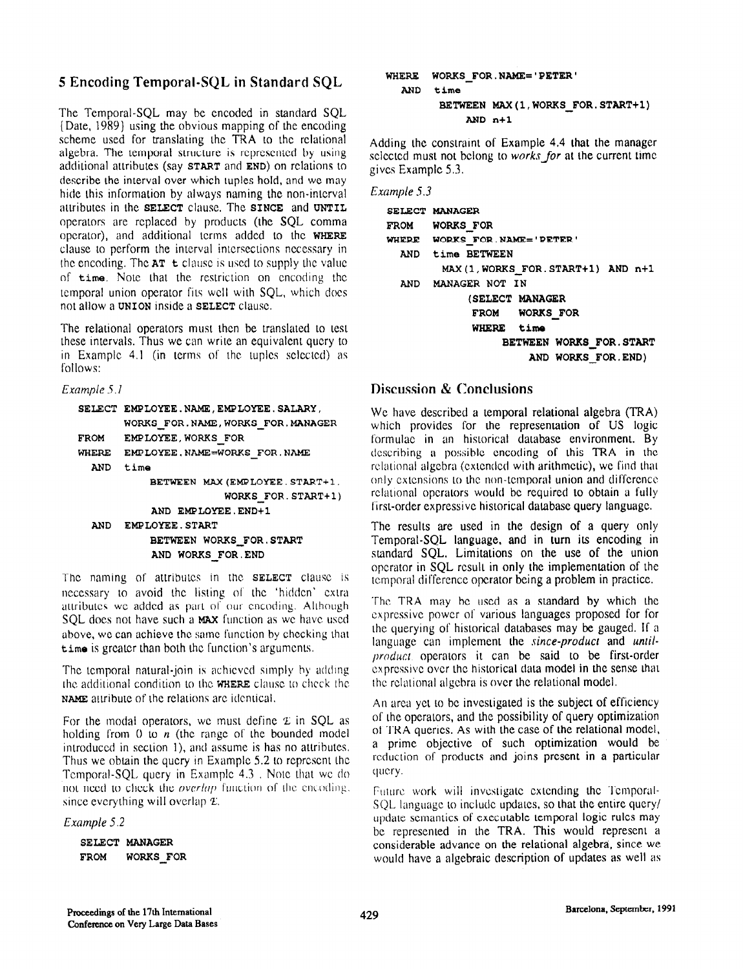## 5 Encoding Temporal-SQL in Standard SQL

The Temporal-SQL may be encoded in standard SQL (Date, 1989) using the obvious mapping of the encoding scheme used for translating the TRA to the relational algebra. The temporal structure is represented by using additional attributes (say START and END) on relations to describe the interval over which tuples hold, and we may hide this information by always naming the non-interval atuibutcs in the SELECT clause. The SINCE and UNTIL operators are replaced by products (the SQL comma operator), and additional terms added to the WHERE clause to perform the interval intersections ncccssary in the encoding. The  $AT$  t clause is used to supply the value of time. Note that the restriction on encoding the temporal union operator fits well with SQL, which does not allow a UNION inside a SELECT clause.

The relational operators must then be translated to test these intervals. Thus we can write an equivalent query to in Example 4.1 (in terms of the tuples selected) as follows:

Example 5.1

```
SELECT EMPLOYEE.NAME,EMPLOYEE.SALARY, 
       WORKS FOR.NAME,WORXS FOR.MANAGER 
FROM EMPLOYEE, WORKS FOR
WHERE EMPLOYEE.NAME=WORXS-FOR.NAME 
 AND time 
           BETWEEN MAX(EMPLOYEE.START+1.
                       WORKS FOR. START+1)
           AND EMPLOYEE. END+1
  AND EMPLOYEE.START 
           BETWEEN WORKS-FOR.START 
           AND WORKS-FOR-END
```
The naming of attributes in the **SELECT** clause is necessary to avoid the listing of the 'hidden' extra attributes WC added as part of our encoding. Although SQL does not have such a MAX function as we have used above, we can achieve the same function by checking that time is grcatcr than both the function's arguments.

The temporal natural-join is achieved simply by adding the additional condition to Ihc WHERE clause Lo cheek lhc NAME attribute of the relations arc identical.

For the modal operators, we must define  $\mathcal L$  in SQL as holding from 0 to  $n$  (the range of the bounded model introduced in section 1), and assume is has no attributes. Thus we obtain the query in Example 5.2 to represent the Temporal-SQL, query in Example 4.3, Note that we do not need to check the *overlap* function of the encoding. since everything will overlap  $\Sigma$ .

Example 5.2

```
SELECT MANAGER 
FROM WORKS FOR
```
## WHERE WORKS-FOR.NAME='PETER' AND time BETWEEN MAX(1, WORKS FOR. START+1)  $AND n+1$

Adding the constraint of Example 4.4 that the manager selected must not belong to works for at the current time gives Example 5.3.

Example 5.3

|                          | SELECT MANAGER                     |
|--------------------------|------------------------------------|
|                          | FROM WORKS FOR                     |
|                          | WHERE WORKS FOR NAME='PETER'       |
|                          | AND time BETWEEN                   |
|                          | MAX(1, WORKS FOR. START+1) AND n+1 |
|                          | AND MANAGER NOT IN                 |
|                          | (SELECT MANAGER                    |
|                          | FROM WORKS FOR                     |
|                          | WHERE time                         |
| BETWEEN WORKS FOR. START |                                    |
|                          | AND WORKS FOR. END)                |

## Discussion & Conclusions

We have described a temporal relational algebra (TRA) which provides for the representation of US logic formulae in an historical database environment. By describing a possible encoding of this TRA in the relational algebra (extended with arithmetic), we find that only cxtcnsions to the non-temporal union and diffcrcncc relational operators would bc required to obtain a fully first-order expressive historical database query language.

The results are used in the design of a query only Temporal-SQL language, and in turn its encoding in standard SQL. Limitations on the use of the union operator in SQL result in only the implementation of the temporal difference operator being a problem in practice.

The TRA may bc used as a standard by which the cxprcssivc power of various languages proposed for for the querying of historical databases may be gauged. If a language can implement the since-product and untilproducl operators it can be said to be first-order cxprcssivc over the historical data model in the sense that the relational algebra is over the relational model.

An arca yet to be investigated is the subject of efficiency of the operators, and the possibility of query optimization of TRA queries. As with the case of the relational model, a prime objective of such optimization would be reduction of products and joins present in a particular query.

Future work will investigate extending the Temporal-SOL language to include updates, so that the entire query/ update semantics of executable temporal logic rules may be represented in the TRA. This would represent a considerable advance on the relational algebra, since we would have a algebraic description of updates as well as